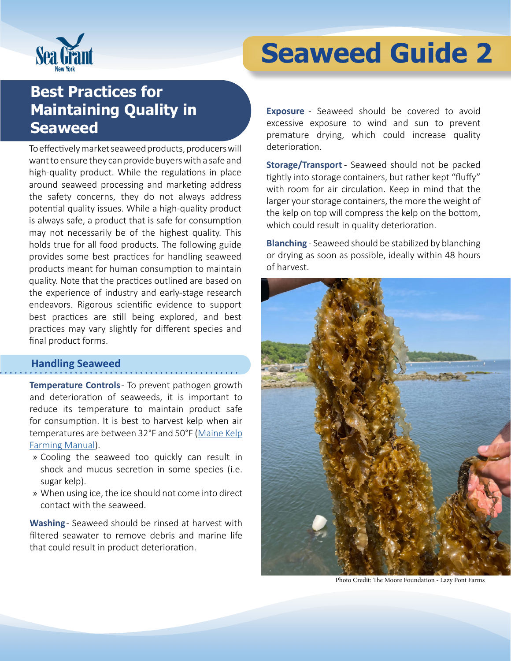

# **Seaweed Guide 2**

# **Best Practices for Maintaining Quality in Seaweed**

To effectively market seaweed products, producers will want to ensure they can provide buyers with a safe and high-quality product. While the regulations in place around seaweed processing and marketing address the safety concerns, they do not always address potential quality issues. While a high-quality product is always safe, a product that is safe for consumption may not necessarily be of the highest quality. This holds true for all food products. The following guide provides some best practices for handling seaweed products meant for human consumption to maintain quality. Note that the practices outlined are based on the experience of industry and early-stage research endeavors. Rigorous scientific evidence to support best practices are still being explored, and best practices may vary slightly for different species and final product forms.

#### **Handling Seaweed**

**Temperature Controls** - To prevent pathogen growth and deterioration of seaweeds, it is important to reduce its temperature to maintain product safe for consumption. It is best to harvest kelp when air temperatures are between 32°F and 50°F [\(Maine Kelp](https://maineaqua.org/wp-content/uploads/2020/06/OceanApproved_KelpManualLowRez.pdf)  [Farming Manual\)](https://maineaqua.org/wp-content/uploads/2020/06/OceanApproved_KelpManualLowRez.pdf).

- » Cooling the seaweed too quickly can result in shock and mucus secretion in some species (i.e. sugar kelp).
- » When using ice, the ice should not come into direct contact with the seaweed.

Washing - Seaweed should be rinsed at harvest with filtered seawater to remove debris and marine life that could result in product deterioration.

**Exposure** - Seaweed should be covered to avoid excessive exposure to wind and sun to prevent premature drying, which could increase quality deterioration.

**Storage/Transport** - Seaweed should not be packed tightly into storage containers, but rather kept "fluffy" with room for air circulation. Keep in mind that the larger your storage containers, the more the weight of the kelp on top will compress the kelp on the bottom, which could result in quality deterioration.

**Blanching** - Seaweed should be stabilized by blanching or drying as soon as possible, ideally within 48 hours of harvest.



Photo Credit: The Moore Foundation - Lazy Pont Farms